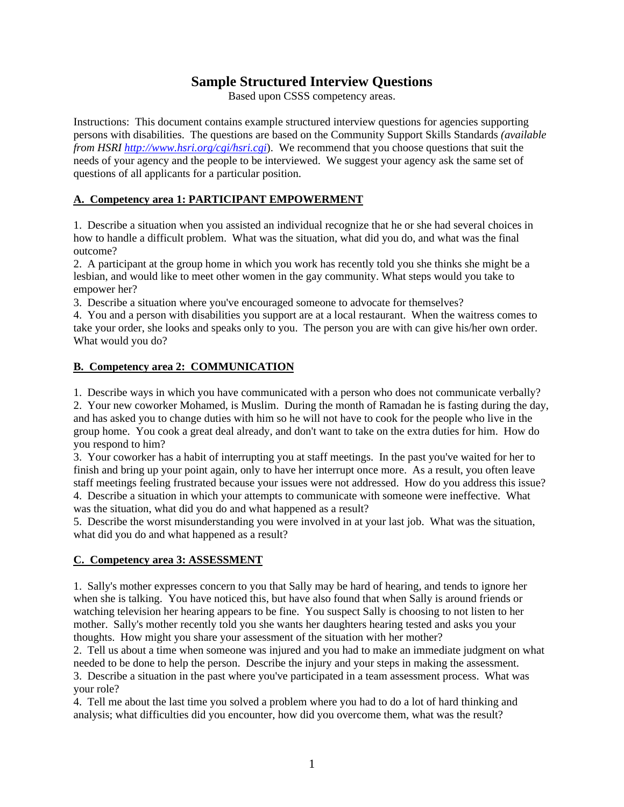# **Sample Structured Interview Questions**

Based upon CSSS competency areas.

Instructions: This document contains example structured interview questions for agencies supporting persons with disabilities. The questions are based on the Community Support Skills Standards *(available from HSRI http://www.hsri.org/cgi/hsri.cgi*). We recommend that you choose questions that suit the needs of your agency and the people to be interviewed. We suggest your agency ask the same set of questions of all applicants for a particular position.

### **A. Competency area 1: PARTICIPANT EMPOWERMENT**

1. Describe a situation when you assisted an individual recognize that he or she had several choices in how to handle a difficult problem. What was the situation, what did you do, and what was the final outcome?

2. A participant at the group home in which you work has recently told you she thinks she might be a lesbian, and would like to meet other women in the gay community. What steps would you take to empower her?

3. Describe a situation where you've encouraged someone to advocate for themselves?

4. You and a person with disabilities you support are at a local restaurant. When the waitress comes to take your order, she looks and speaks only to you. The person you are with can give his/her own order. What would you do?

## **B. Competency area 2: COMMUNICATION**

1. Describe ways in which you have communicated with a person who does not communicate verbally?

2. Your new coworker Mohamed, is Muslim. During the month of Ramadan he is fasting during the day, and has asked you to change duties with him so he will not have to cook for the people who live in the group home. You cook a great deal already, and don't want to take on the extra duties for him. How do you respond to him?

3. Your coworker has a habit of interrupting you at staff meetings. In the past you've waited for her to finish and bring up your point again, only to have her interrupt once more. As a result, you often leave staff meetings feeling frustrated because your issues were not addressed. How do you address this issue? 4. Describe a situation in which your attempts to communicate with someone were ineffective. What

was the situation, what did you do and what happened as a result?

5. Describe the worst misunderstanding you were involved in at your last job. What was the situation, what did you do and what happened as a result?

## **C. Competency area 3: ASSESSMENT**

1. Sally's mother expresses concern to you that Sally may be hard of hearing, and tends to ignore her when she is talking. You have noticed this, but have also found that when Sally is around friends or watching television her hearing appears to be fine. You suspect Sally is choosing to not listen to her mother. Sally's mother recently told you she wants her daughters hearing tested and asks you your thoughts. How might you share your assessment of the situation with her mother?

2. Tell us about a time when someone was injured and you had to make an immediate judgment on what needed to be done to help the person. Describe the injury and your steps in making the assessment.

3. Describe a situation in the past where you've participated in a team assessment process. What was your role?

4. Tell me about the last time you solved a problem where you had to do a lot of hard thinking and analysis; what difficulties did you encounter, how did you overcome them, what was the result?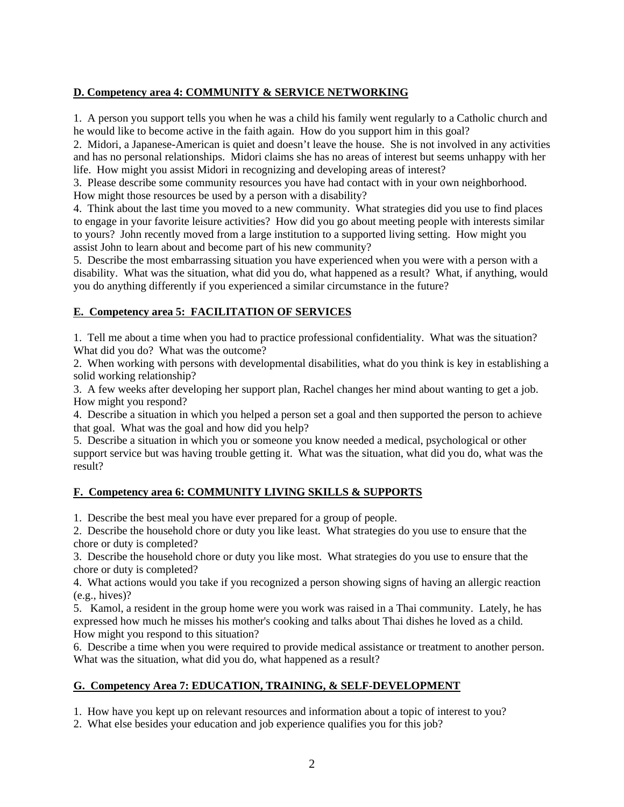## **D. Competency area 4: COMMUNITY & SERVICE NETWORKING**

1. A person you support tells you when he was a child his family went regularly to a Catholic church and he would like to become active in the faith again. How do you support him in this goal?

2. Midori, a Japanese-American is quiet and doesn't leave the house. She is not involved in any activities and has no personal relationships. Midori claims she has no areas of interest but seems unhappy with her life. How might you assist Midori in recognizing and developing areas of interest?

3. Please describe some community resources you have had contact with in your own neighborhood. How might those resources be used by a person with a disability?

4. Think about the last time you moved to a new community. What strategies did you use to find places to engage in your favorite leisure activities? How did you go about meeting people with interests similar to yours? John recently moved from a large institution to a supported living setting. How might you assist John to learn about and become part of his new community?

5. Describe the most embarrassing situation you have experienced when you were with a person with a disability. What was the situation, what did you do, what happened as a result? What, if anything, would you do anything differently if you experienced a similar circumstance in the future?

## **E. Competency area 5: FACILITATION OF SERVICES**

1. Tell me about a time when you had to practice professional confidentiality. What was the situation? What did you do? What was the outcome?

2. When working with persons with developmental disabilities, what do you think is key in establishing a solid working relationship?

3. A few weeks after developing her support plan, Rachel changes her mind about wanting to get a job. How might you respond?

4. Describe a situation in which you helped a person set a goal and then supported the person to achieve that goal. What was the goal and how did you help?

5. Describe a situation in which you or someone you know needed a medical, psychological or other support service but was having trouble getting it. What was the situation, what did you do, what was the result?

## **F. Competency area 6: COMMUNITY LIVING SKILLS & SUPPORTS**

1. Describe the best meal you have ever prepared for a group of people.

2. Describe the household chore or duty you like least. What strategies do you use to ensure that the chore or duty is completed?

3. Describe the household chore or duty you like most. What strategies do you use to ensure that the chore or duty is completed?

4. What actions would you take if you recognized a person showing signs of having an allergic reaction (e.g., hives)?

5. Kamol, a resident in the group home were you work was raised in a Thai community. Lately, he has expressed how much he misses his mother's cooking and talks about Thai dishes he loved as a child. How might you respond to this situation?

6. Describe a time when you were required to provide medical assistance or treatment to another person. What was the situation, what did you do, what happened as a result?

## **G. Competency Area 7: EDUCATION, TRAINING, & SELF-DEVELOPMENT**

1. How have you kept up on relevant resources and information about a topic of interest to you?

2. What else besides your education and job experience qualifies you for this job?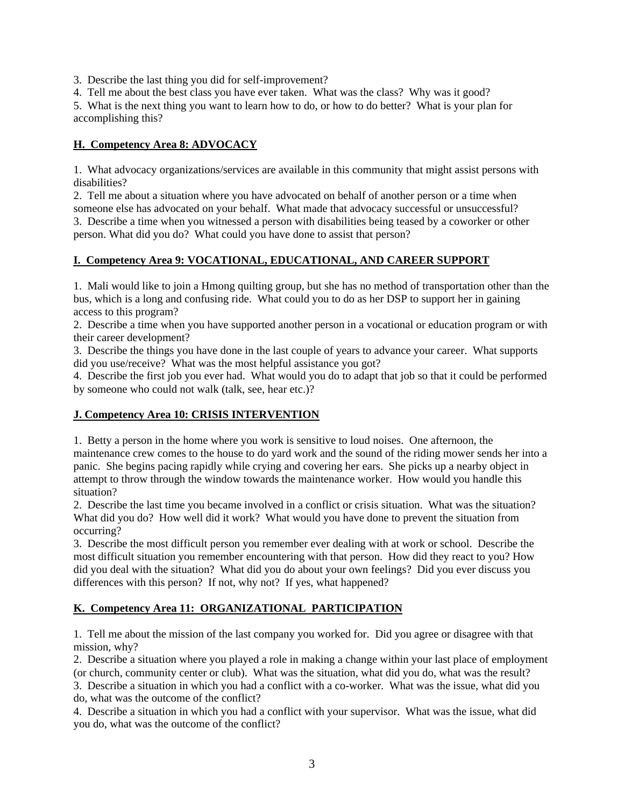3. Describe the last thing you did for self-improvement?

4. Tell me about the best class you have ever taken. What was the class? Why was it good?

5. What is the next thing you want to learn how to do, or how to do better? What is your plan for accomplishing this?

## **H. Competency Area 8: ADVOCACY**

1. What advocacy organizations/services are available in this community that might assist persons with disabilities?

2. Tell me about a situation where you have advocated on behalf of another person or a time when someone else has advocated on your behalf. What made that advocacy successful or unsuccessful? 3. Describe a time when you witnessed a person with disabilities being teased by a coworker or other

person. What did you do? What could you have done to assist that person?

## **I. Competency Area 9: VOCATIONAL, EDUCATIONAL, AND CAREER SUPPORT**

1. Mali would like to join a Hmong quilting group, but she has no method of transportation other than the bus, which is a long and confusing ride. What could you to do as her DSP to support her in gaining access to this program?

2. Describe a time when you have supported another person in a vocational or education program or with their career development?

3. Describe the things you have done in the last couple of years to advance your career. What supports did you use/receive? What was the most helpful assistance you got?

4. Describe the first job you ever had. What would you do to adapt that job so that it could be performed by someone who could not walk (talk, see, hear etc.)?

## **J. Competency Area 10: CRISIS INTERVENTION**

1. Betty a person in the home where you work is sensitive to loud noises. One afternoon, the maintenance crew comes to the house to do yard work and the sound of the riding mower sends her into a panic. She begins pacing rapidly while crying and covering her ears. She picks up a nearby object in attempt to throw through the window towards the maintenance worker. How would you handle this situation?

2. Describe the last time you became involved in a conflict or crisis situation. What was the situation? What did you do? How well did it work? What would you have done to prevent the situation from occurring?

3. Describe the most difficult person you remember ever dealing with at work or school. Describe the most difficult situation you remember encountering with that person. How did they react to you? How did you deal with the situation? What did you do about your own feelings? Did you ever discuss you differences with this person? If not, why not? If yes, what happened?

## **K. Competency Area 11: ORGANIZATIONAL PARTICIPATION**

1. Tell me about the mission of the last company you worked for. Did you agree or disagree with that mission, why?

2. Describe a situation where you played a role in making a change within your last place of employment (or church, community center or club). What was the situation, what did you do, what was the result?

3. Describe a situation in which you had a conflict with a co-worker. What was the issue, what did you do, what was the outcome of the conflict?

4. Describe a situation in which you had a conflict with your supervisor. What was the issue, what did you do, what was the outcome of the conflict?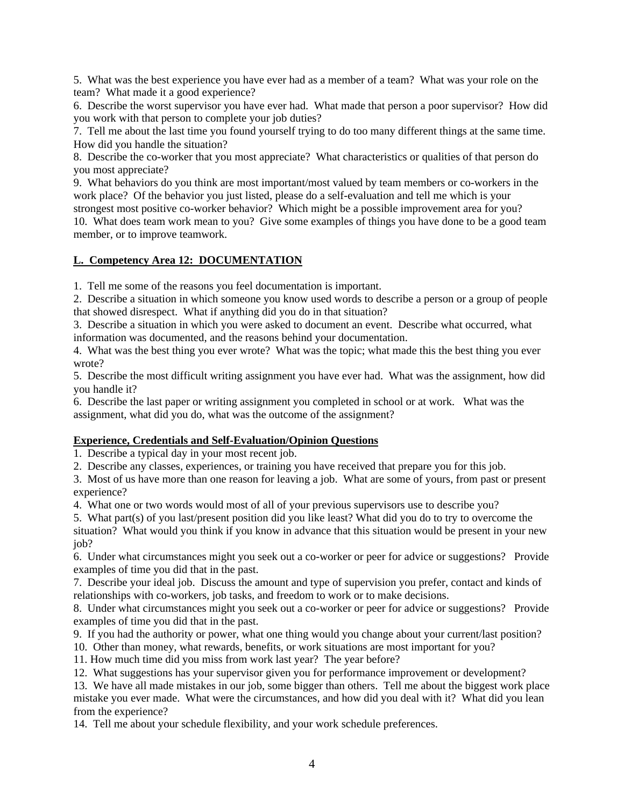5. What was the best experience you have ever had as a member of a team? What was your role on the team? What made it a good experience?

6. Describe the worst supervisor you have ever had. What made that person a poor supervisor? How did you work with that person to complete your job duties?

7. Tell me about the last time you found yourself trying to do too many different things at the same time. How did you handle the situation?

8. Describe the co-worker that you most appreciate? What characteristics or qualities of that person do you most appreciate?

9. What behaviors do you think are most important/most valued by team members or co-workers in the work place? Of the behavior you just listed, please do a self-evaluation and tell me which is your strongest most positive co-worker behavior? Which might be a possible improvement area for you?

10. What does team work mean to you? Give some examples of things you have done to be a good team member, or to improve teamwork.

### **L. Competency Area 12: DOCUMENTATION**

1. Tell me some of the reasons you feel documentation is important.

2. Describe a situation in which someone you know used words to describe a person or a group of people that showed disrespect. What if anything did you do in that situation?

3. Describe a situation in which you were asked to document an event. Describe what occurred, what information was documented, and the reasons behind your documentation.

4. What was the best thing you ever wrote? What was the topic; what made this the best thing you ever wrote?

5. Describe the most difficult writing assignment you have ever had. What was the assignment, how did you handle it?

6. Describe the last paper or writing assignment you completed in school or at work. What was the assignment, what did you do, what was the outcome of the assignment?

#### **Experience, Credentials and Self-Evaluation/Opinion Questions**

1. Describe a typical day in your most recent job.

2. Describe any classes, experiences, or training you have received that prepare you for this job.

3. Most of us have more than one reason for leaving a job. What are some of yours, from past or present experience?

4. What one or two words would most of all of your previous supervisors use to describe you?

5. What part(s) of you last/present position did you like least? What did you do to try to overcome the situation? What would you think if you know in advance that this situation would be present in your new iob?

6. Under what circumstances might you seek out a co-worker or peer for advice or suggestions? Provide examples of time you did that in the past.

7. Describe your ideal job. Discuss the amount and type of supervision you prefer, contact and kinds of relationships with co-workers, job tasks, and freedom to work or to make decisions.

8. Under what circumstances might you seek out a co-worker or peer for advice or suggestions? Provide examples of time you did that in the past.

9. If you had the authority or power, what one thing would you change about your current/last position?

10. Other than money, what rewards, benefits, or work situations are most important for you?

11. How much time did you miss from work last year? The year before?

12. What suggestions has your supervisor given you for performance improvement or development?

13. We have all made mistakes in our job, some bigger than others. Tell me about the biggest work place mistake you ever made. What were the circumstances, and how did you deal with it? What did you lean from the experience?

14. Tell me about your schedule flexibility, and your work schedule preferences.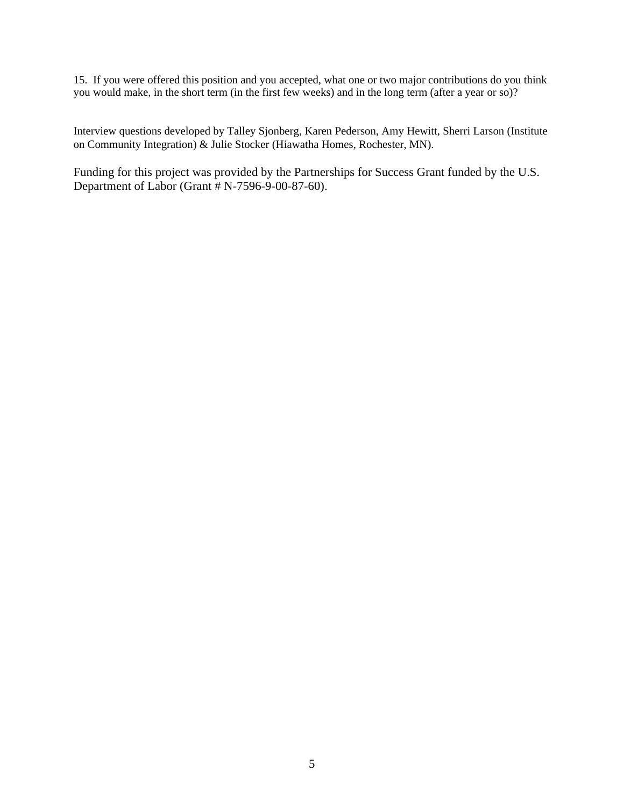15. If you were offered this position and you accepted, what one or two major contributions do you think you would make, in the short term (in the first few weeks) and in the long term (after a year or so)?

Interview questions developed by Talley Sjonberg, Karen Pederson, Amy Hewitt, Sherri Larson (Institute on Community Integration) & Julie Stocker (Hiawatha Homes, Rochester, MN).

Funding for this project was provided by the Partnerships for Success Grant funded by the U.S. Department of Labor (Grant # N-7596-9-00-87-60).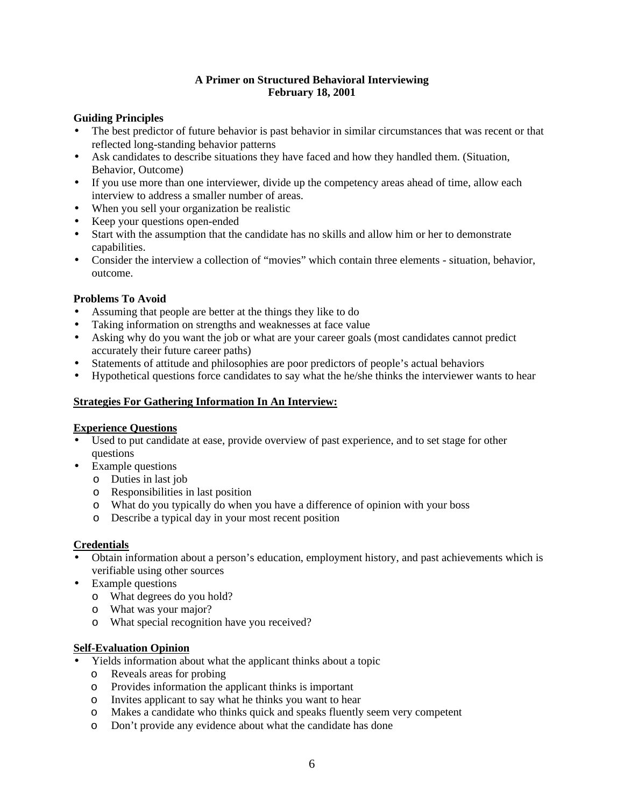## **A Primer on Structured Behavioral Interviewing February 18, 2001**

### **Guiding Principles**

- The best predictor of future behavior is past behavior in similar circumstances that was recent or that reflected long-standing behavior patterns
- Ask candidates to describe situations they have faced and how they handled them. (Situation, Behavior, Outcome)
- If you use more than one interviewer, divide up the competency areas ahead of time, allow each interview to address a smaller number of areas.
- When you sell your organization be realistic
- Keep your questions open-ended
- Start with the assumption that the candidate has no skills and allow him or her to demonstrate capabilities.
- Consider the interview a collection of "movies" which contain three elements situation, behavior, outcome.

### **Problems To Avoid**

- Assuming that people are better at the things they like to do
- Taking information on strengths and weaknesses at face value
- Asking why do you want the job or what are your career goals (most candidates cannot predict accurately their future career paths)
- Statements of attitude and philosophies are poor predictors of people's actual behaviors
- Hypothetical questions force candidates to say what the he/she thinks the interviewer wants to hear

### **Strategies For Gathering Information In An Interview:**

#### **Experience Questions**

- Used to put candidate at ease, provide overview of past experience, and to set stage for other questions
- Example questions
	- o Duties in last job
	- o Responsibilities in last position
	- o What do you typically do when you have a difference of opinion with your boss
	- o Describe a typical day in your most recent position

#### **Credentials**

- Obtain information about a person's education, employment history, and past achievements which is verifiable using other sources
- Example questions
	- o What degrees do you hold?
	- o What was your major?
	- o What special recognition have you received?

#### **Self-Evaluation Opinion**

- Yields information about what the applicant thinks about a topic
	- o Reveals areas for probing
	- o Provides information the applicant thinks is important
	- o Invites applicant to say what he thinks you want to hear
	- o Makes a candidate who thinks quick and speaks fluently seem very competent
	- o Don't provide any evidence about what the candidate has done